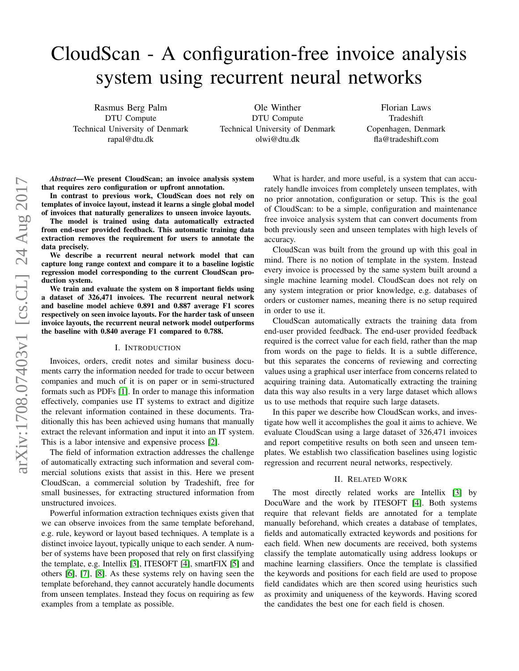# CloudScan - A configuration-free invoice analysis system using recurrent neural networks

Rasmus Berg Palm DTU Compute Technical University of Denmark rapal@dtu.dk

Ole Winther DTU Compute Technical University of Denmark olwi@dtu.dk

Florian Laws Tradeshift Copenhagen, Denmark fla@tradeshift.com

*Abstract*—We present CloudScan; an invoice analysis system that requires zero configuration or upfront annotation.

In contrast to previous work, CloudScan does not rely on templates of invoice layout, instead it learns a single global model of invoices that naturally generalizes to unseen invoice layouts.

The model is trained using data automatically extracted from end-user provided feedback. This automatic training data extraction removes the requirement for users to annotate the data precisely.

We describe a recurrent neural network model that can capture long range context and compare it to a baseline logistic regression model corresponding to the current CloudScan production system.

We train and evaluate the system on 8 important fields using a dataset of 326,471 invoices. The recurrent neural network and baseline model achieve 0.891 and 0.887 average F1 scores respectively on seen invoice layouts. For the harder task of unseen invoice layouts, the recurrent neural network model outperforms the baseline with 0.840 average F1 compared to 0.788.

#### I. INTRODUCTION

Invoices, orders, credit notes and similar business documents carry the information needed for trade to occur between companies and much of it is on paper or in semi-structured formats such as PDFs [\[1\]](#page-6-0). In order to manage this information effectively, companies use IT systems to extract and digitize the relevant information contained in these documents. Traditionally this has been achieved using humans that manually extract the relevant information and input it into an IT system. This is a labor intensive and expensive process [\[2\]](#page-6-1).

The field of information extraction addresses the challenge of automatically extracting such information and several commercial solutions exists that assist in this. Here we present CloudScan, a commercial solution by Tradeshift, free for small businesses, for extracting structured information from unstructured invoices.

Powerful information extraction techniques exists given that we can observe invoices from the same template beforehand, e.g. rule, keyword or layout based techniques. A template is a distinct invoice layout, typically unique to each sender. A number of systems have been proposed that rely on first classifying the template, e.g. Intellix [\[3\]](#page-6-2), ITESOFT [\[4\]](#page-6-3), smartFIX [\[5\]](#page-6-4) and others [\[6\]](#page-6-5), [\[7\]](#page-6-6), [\[8\]](#page-7-0). As these systems rely on having seen the template beforehand, they cannot accurately handle documents from unseen templates. Instead they focus on requiring as few examples from a template as possible.

What is harder, and more useful, is a system that can accurately handle invoices from completely unseen templates, with no prior annotation, configuration or setup. This is the goal of CloudScan: to be a simple, configuration and maintenance free invoice analysis system that can convert documents from both previously seen and unseen templates with high levels of accuracy.

CloudScan was built from the ground up with this goal in mind. There is no notion of template in the system. Instead every invoice is processed by the same system built around a single machine learning model. CloudScan does not rely on any system integration or prior knowledge, e.g. databases of orders or customer names, meaning there is no setup required in order to use it.

CloudScan automatically extracts the training data from end-user provided feedback. The end-user provided feedback required is the correct value for each field, rather than the map from words on the page to fields. It is a subtle difference, but this separates the concerns of reviewing and correcting values using a graphical user interface from concerns related to acquiring training data. Automatically extracting the training data this way also results in a very large dataset which allows us to use methods that require such large datasets.

In this paper we describe how CloudScan works, and investigate how well it accomplishes the goal it aims to achieve. We evaluate CloudScan using a large dataset of 326,471 invoices and report competitive results on both seen and unseen templates. We establish two classification baselines using logistic regression and recurrent neural networks, respectively.

#### II. RELATED WORK

The most directly related works are Intellix [\[3\]](#page-6-2) by DocuWare and the work by ITESOFT [\[4\]](#page-6-3). Both systems require that relevant fields are annotated for a template manually beforehand, which creates a database of templates, fields and automatically extracted keywords and positions for each field. When new documents are received, both systems classify the template automatically using address lookups or machine learning classifiers. Once the template is classified the keywords and positions for each field are used to propose field candidates which are then scored using heuristics such as proximity and uniqueness of the keywords. Having scored the candidates the best one for each field is chosen.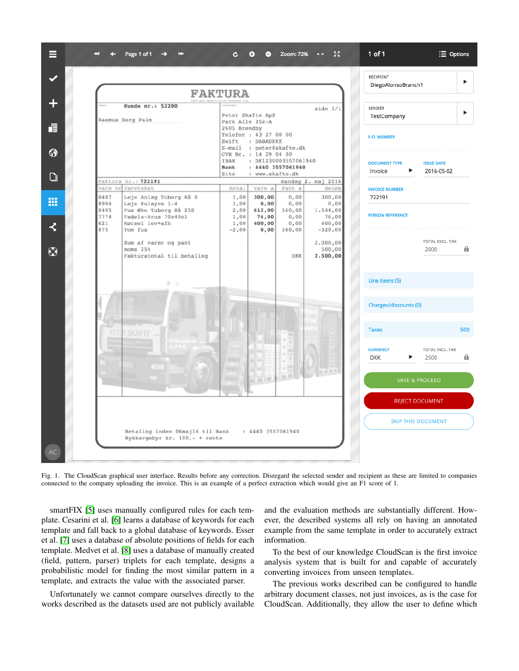

<span id="page-1-0"></span>Fig. 1. The CloudScan graphical user interface. Results before any correction. Disregard the selected sender and recipient as these are limited to companies connected to the company uploading the invoice. This is an example of a perfect extraction which would give an F1 score of 1.

smartFIX [\[5\]](#page-6-4) uses manually configured rules for each template. Cesarini et al. [\[6\]](#page-6-5) learns a database of keywords for each template and fall back to a global database of keywords. Esser et al. [\[7\]](#page-6-6) uses a database of absolute positions of fields for each template. Medvet et al. [\[8\]](#page-7-0) uses a database of manually created (field, pattern, parser) triplets for each template, designs a probabilistic model for finding the most similar pattern in a template, and extracts the value with the associated parser.

Unfortunately we cannot compare ourselves directly to the works described as the datasets used are not publicly available and the evaluation methods are substantially different. However, the described systems all rely on having an annotated example from the same template in order to accurately extract information.

To the best of our knowledge CloudScan is the first invoice analysis system that is built for and capable of accurately converting invoices from unseen templates.

The previous works described can be configured to handle arbitrary document classes, not just invoices, as is the case for CloudScan. Additionally, they allow the user to define which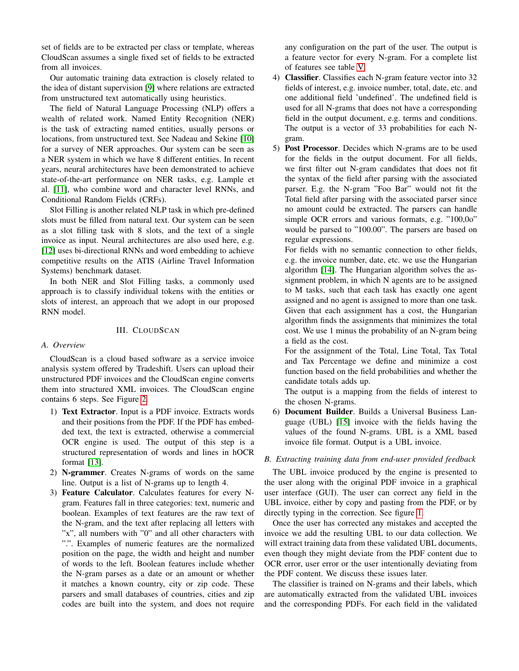set of fields are to be extracted per class or template, whereas CloudScan assumes a single fixed set of fields to be extracted from all invoices.

Our automatic training data extraction is closely related to the idea of distant supervision [\[9\]](#page-7-1) where relations are extracted from unstructured text automatically using heuristics.

The field of Natural Language Processing (NLP) offers a wealth of related work. Named Entity Recognition (NER) is the task of extracting named entities, usually persons or locations, from unstructured text. See Nadeau and Sekine [\[10\]](#page-7-2) for a survey of NER approaches. Our system can be seen as a NER system in which we have 8 different entities. In recent years, neural architectures have been demonstrated to achieve state-of-the-art performance on NER tasks, e.g. Lample et al. [\[11\]](#page-7-3), who combine word and character level RNNs, and Conditional Random Fields (CRFs).

Slot Filling is another related NLP task in which pre-defined slots must be filled from natural text. Our system can be seen as a slot filling task with 8 slots, and the text of a single invoice as input. Neural architectures are also used here, e.g. [\[12\]](#page-7-4) uses bi-directional RNNs and word embedding to achieve competitive results on the ATIS (Airline Travel Information Systems) benchmark dataset.

In both NER and Slot Filling tasks, a commonly used approach is to classify individual tokens with the entities or slots of interest, an approach that we adopt in our proposed RNN model.

# III. CLOUDSCAN

# *A. Overview*

CloudScan is a cloud based software as a service invoice analysis system offered by Tradeshift. Users can upload their unstructured PDF invoices and the CloudScan engine converts them into structured XML invoices. The CloudScan engine contains 6 steps. See Figure [2.](#page-3-0)

- 1) Text Extractor. Input is a PDF invoice. Extracts words and their positions from the PDF. If the PDF has embedded text, the text is extracted, otherwise a commercial OCR engine is used. The output of this step is a structured representation of words and lines in hOCR format [\[13\]](#page-7-5).
- 2) N-grammer. Creates N-grams of words on the same line. Output is a list of N-grams up to length 4.
- 3) Feature Calculator. Calculates features for every Ngram. Features fall in three categories: text, numeric and boolean. Examples of text features are the raw text of the N-gram, and the text after replacing all letters with "x", all numbers with "0" and all other characters with ".". Examples of numeric features are the normalized position on the page, the width and height and number of words to the left. Boolean features include whether the N-gram parses as a date or an amount or whether it matches a known country, city or zip code. These parsers and small databases of countries, cities and zip codes are built into the system, and does not require

any configuration on the part of the user. The output is a feature vector for every N-gram. For a complete list of features see table [V.](#page-7-6)

- 4) Classifier. Classifies each N-gram feature vector into 32 fields of interest, e.g. invoice number, total, date, etc. and one additional field 'undefined'. The undefined field is used for all N-grams that does not have a corresponding field in the output document, e.g. terms and conditions. The output is a vector of 33 probabilities for each Ngram.
- 5) Post Processor. Decides which N-grams are to be used for the fields in the output document. For all fields, we first filter out N-gram candidates that does not fit the syntax of the field after parsing with the associated parser. E.g. the N-gram "Foo Bar" would not fit the Total field after parsing with the associated parser since no amount could be extracted. The parsers can handle simple OCR errors and various formats, e.g. "100,0o" would be parsed to "100.00". The parsers are based on regular expressions.

For fields with no semantic connection to other fields, e.g. the invoice number, date, etc. we use the Hungarian algorithm [\[14\]](#page-7-7). The Hungarian algorithm solves the assignment problem, in which N agents are to be assigned to M tasks, such that each task has exactly one agent assigned and no agent is assigned to more than one task. Given that each assignment has a cost, the Hungarian algorithm finds the assignments that minimizes the total cost. We use 1 minus the probability of an N-gram being a field as the cost.

For the assignment of the Total, Line Total, Tax Total and Tax Percentage we define and minimize a cost function based on the field probabilities and whether the candidate totals adds up.

The output is a mapping from the fields of interest to the chosen N-grams.

6) Document Builder. Builds a Universal Business Language (UBL) [\[15\]](#page-7-8) invoice with the fields having the values of the found N-grams. UBL is a XML based invoice file format. Output is a UBL invoice.

# *B. Extracting training data from end-user provided feedback*

The UBL invoice produced by the engine is presented to the user along with the original PDF invoice in a graphical user interface (GUI). The user can correct any field in the UBL invoice, either by copy and pasting from the PDF, or by directly typing in the correction. See figure [1.](#page-1-0)

Once the user has corrected any mistakes and accepted the invoice we add the resulting UBL to our data collection. We will extract training data from these validated UBL documents, even though they might deviate from the PDF content due to OCR error, user error or the user intentionally deviating from the PDF content. We discuss these issues later.

The classifier is trained on N-grams and their labels, which are automatically extracted from the validated UBL invoices and the corresponding PDFs. For each field in the validated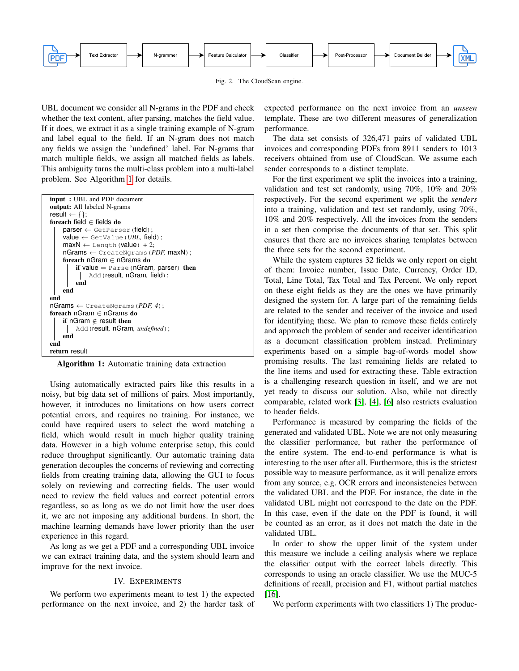

<span id="page-3-0"></span>Fig. 2. The CloudScan engine.

UBL document we consider all N-grams in the PDF and check whether the text content, after parsing, matches the field value. If it does, we extract it as a single training example of N-gram and label equal to the field. If an N-gram does not match any fields we assign the 'undefined' label. For N-grams that match multiple fields, we assign all matched fields as labels. This ambiguity turns the multi-class problem into a multi-label problem. See Algorithm [1](#page-3-1) for details.

| <b>input</b> : UBL and PDF document                              |  |
|------------------------------------------------------------------|--|
| output: All labeled N-grams                                      |  |
| result $\leftarrow \{\}$ ;                                       |  |
| foreach field $\in$ fields do                                    |  |
| $\mathsf{parser} \leftarrow \mathsf{GetParser}(\mathsf{field});$ |  |
| $value \leftarrow$ GetValue ( <i>UBL</i> , field);               |  |
| $maxN \leftarrow$ Length (value) + 2;                            |  |
| $nGrams \leftarrow$ CreateNgrams ( <i>PDF</i> , $maxN$ );        |  |
| foreach nGram $\in$ nGrams do                                    |  |
| if value $=$ Parse (nGram, parser) then                          |  |
| Add (result, nGram, field);                                      |  |
| end                                                              |  |
| end                                                              |  |
| end                                                              |  |
| $nGrams \leftarrow$ CreateNgrams ( <i>PDF, 4</i> );              |  |
| foreach nGram $\in$ nGrams do                                    |  |
| if nGram $\notin$ result then                                    |  |
| Add (result, nGram, undefined);                                  |  |
| end                                                              |  |
| end                                                              |  |
| return result                                                    |  |
|                                                                  |  |

<span id="page-3-1"></span>Algorithm 1: Automatic training data extraction

Using automatically extracted pairs like this results in a noisy, but big data set of millions of pairs. Most importantly, however, it introduces no limitations on how users correct potential errors, and requires no training. For instance, we could have required users to select the word matching a field, which would result in much higher quality training data. However in a high volume enterprise setup, this could reduce throughput significantly. Our automatic training data generation decouples the concerns of reviewing and correcting fields from creating training data, allowing the GUI to focus solely on reviewing and correcting fields. The user would need to review the field values and correct potential errors regardless, so as long as we do not limit how the user does it, we are not imposing any additional burdens. In short, the machine learning demands have lower priority than the user experience in this regard.

As long as we get a PDF and a corresponding UBL invoice we can extract training data, and the system should learn and improve for the next invoice.

## IV. EXPERIMENTS

We perform two experiments meant to test 1) the expected performance on the next invoice, and 2) the harder task of expected performance on the next invoice from an *unseen* template. These are two different measures of generalization performance.

The data set consists of 326,471 pairs of validated UBL invoices and corresponding PDFs from 8911 senders to 1013 receivers obtained from use of CloudScan. We assume each sender corresponds to a distinct template.

For the first experiment we split the invoices into a training, validation and test set randomly, using 70%, 10% and 20% respectively. For the second experiment we split the *senders* into a training, validation and test set randomly, using 70%, 10% and 20% respectively. All the invoices from the senders in a set then comprise the documents of that set. This split ensures that there are no invoices sharing templates between the three sets for the second experiment.

While the system captures 32 fields we only report on eight of them: Invoice number, Issue Date, Currency, Order ID, Total, Line Total, Tax Total and Tax Percent. We only report on these eight fields as they are the ones we have primarily designed the system for. A large part of the remaining fields are related to the sender and receiver of the invoice and used for identifying these. We plan to remove these fields entirely and approach the problem of sender and receiver identification as a document classification problem instead. Preliminary experiments based on a simple bag-of-words model show promising results. The last remaining fields are related to the line items and used for extracting these. Table extraction is a challenging research question in itself, and we are not yet ready to discuss our solution. Also, while not directly comparable, related work [\[3\]](#page-6-2), [\[4\]](#page-6-3), [\[6\]](#page-6-5) also restricts evaluation to header fields.

Performance is measured by comparing the fields of the generated and validated UBL. Note we are not only measuring the classifier performance, but rather the performance of the entire system. The end-to-end performance is what is interesting to the user after all. Furthermore, this is the strictest possible way to measure performance, as it will penalize errors from any source, e.g. OCR errors and inconsistencies between the validated UBL and the PDF. For instance, the date in the validated UBL might not correspond to the date on the PDF. In this case, even if the date on the PDF is found, it will be counted as an error, as it does not match the date in the validated UBL.

In order to show the upper limit of the system under this measure we include a ceiling analysis where we replace the classifier output with the correct labels directly. This corresponds to using an oracle classifier. We use the MUC-5 definitions of recall, precision and F1, without partial matches [\[16\]](#page-7-9).

We perform experiments with two classifiers 1) The produc-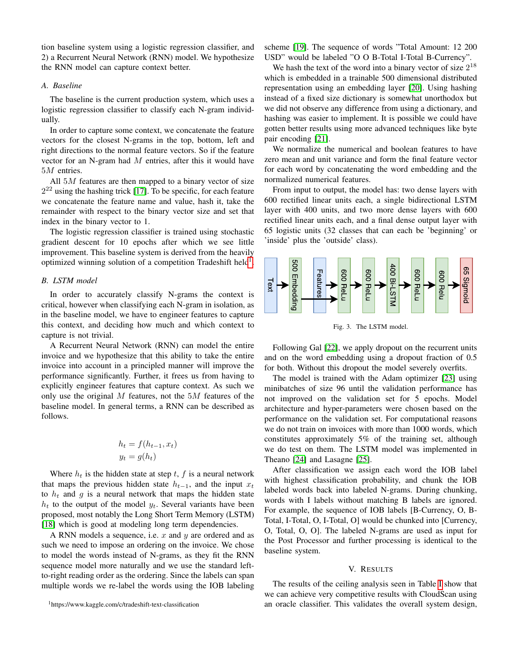tion baseline system using a logistic regression classifier, and 2) a Recurrent Neural Network (RNN) model. We hypothesize the RNN model can capture context better.

#### *A. Baseline*

The baseline is the current production system, which uses a logistic regression classifier to classify each N-gram individually.

In order to capture some context, we concatenate the feature vectors for the closest N-grams in the top, bottom, left and right directions to the normal feature vectors. So if the feature vector for an N-gram had M entries, after this it would have 5M entries.

All  $5M$  features are then mapped to a binary vector of size  $2^{22}$  using the hashing trick [\[17\]](#page-7-10). To be specific, for each feature we concatenate the feature name and value, hash it, take the remainder with respect to the binary vector size and set that index in the binary vector to 1.

The logistic regression classifier is trained using stochastic gradient descent for 10 epochs after which we see little improvement. This baseline system is derived from the heavily optimized winning solution of a competition Tradeshift held<sup>[1](#page-4-0)</sup>.

### *B. LSTM model*

In order to accurately classify N-grams the context is critical, however when classifying each N-gram in isolation, as in the baseline model, we have to engineer features to capture this context, and deciding how much and which context to capture is not trivial.

A Recurrent Neural Network (RNN) can model the entire invoice and we hypothesize that this ability to take the entire invoice into account in a principled manner will improve the performance significantly. Further, it frees us from having to explicitly engineer features that capture context. As such we only use the original  $M$  features, not the  $5M$  features of the baseline model. In general terms, a RNN can be described as follows.

$$
h_t = f(h_{t-1}, x_t)
$$

$$
y_t = g(h_t)
$$

Where  $h_t$  is the hidden state at step t, f is a neural network that maps the previous hidden state  $h_{t-1}$ , and the input  $x_t$ to  $h_t$  and g is a neural network that maps the hidden state  $h_t$  to the output of the model  $y_t$ . Several variants have been proposed, most notably the Long Short Term Memory (LSTM) [\[18\]](#page-7-11) which is good at modeling long term dependencies.

A RNN models a sequence, i.e.  $x$  and  $y$  are ordered and as such we need to impose an ordering on the invoice. We chose to model the words instead of N-grams, as they fit the RNN sequence model more naturally and we use the standard leftto-right reading order as the ordering. Since the labels can span multiple words we re-label the words using the IOB labeling

<span id="page-4-0"></span><sup>1</sup>https://www.kaggle.com/c/tradeshift-text-classification

scheme [\[19\]](#page-7-12). The sequence of words "Total Amount: 12 200 USD" would be labeled "O O B-Total I-Total B-Currency".

We hash the text of the word into a binary vector of size  $2^{18}$ which is embedded in a trainable 500 dimensional distributed representation using an embedding layer [\[20\]](#page-7-13). Using hashing instead of a fixed size dictionary is somewhat unorthodox but we did not observe any difference from using a dictionary, and hashing was easier to implement. It is possible we could have gotten better results using more advanced techniques like byte pair encoding [\[21\]](#page-7-14).

We normalize the numerical and boolean features to have zero mean and unit variance and form the final feature vector for each word by concatenating the word embedding and the normalized numerical features.

From input to output, the model has: two dense layers with 600 rectified linear units each, a single bidirectional LSTM layer with 400 units, and two more dense layers with 600 rectified linear units each, and a final dense output layer with 65 logistic units (32 classes that can each be 'beginning' or 'inside' plus the 'outside' class).



Fig. 3. The LSTM model.

Following Gal [\[22\]](#page-7-15), we apply dropout on the recurrent units and on the word embedding using a dropout fraction of 0.5 for both. Without this dropout the model severely overfits.

The model is trained with the Adam optimizer [\[23\]](#page-7-16) using minibatches of size 96 until the validation performance has not improved on the validation set for 5 epochs. Model architecture and hyper-parameters were chosen based on the performance on the validation set. For computational reasons we do not train on invoices with more than 1000 words, which constitutes approximately 5% of the training set, although we do test on them. The LSTM model was implemented in Theano [\[24\]](#page-7-17) and Lasagne [\[25\]](#page-7-18).

After classification we assign each word the IOB label with highest classification probability, and chunk the IOB labeled words back into labeled N-grams. During chunking, words with I labels without matching B labels are ignored. For example, the sequence of IOB labels [B-Currency, O, B-Total, I-Total, O, I-Total, O] would be chunked into [Currency, O, Total, O, O]. The labeled N-grams are used as input for the Post Processor and further processing is identical to the baseline system.

#### V. RESULTS

The results of the ceiling analysis seen in Table [I](#page-5-0) show that we can achieve very competitive results with CloudScan using an oracle classifier. This validates the overall system design,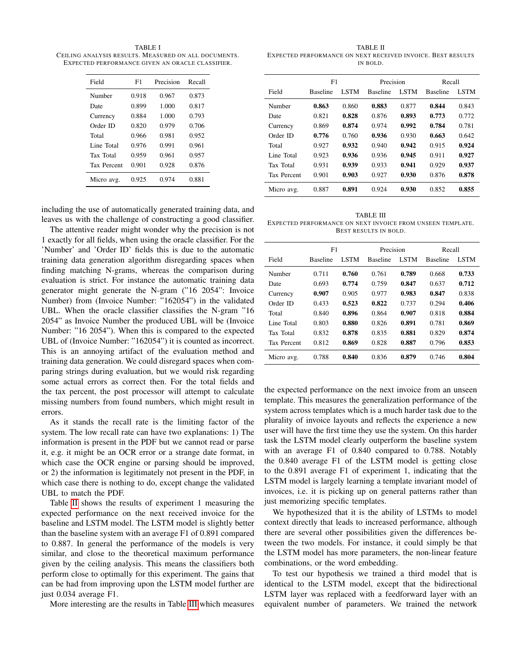<span id="page-5-0"></span>TABLE I CEILING ANALYSIS RESULTS. MEASURED ON ALL DOCUMENTS. EXPECTED PERFORMANCE GIVEN AN ORACLE CLASSIFIER.

| Field       | F1    | Precision | Recall |
|-------------|-------|-----------|--------|
| Number      | 0.918 | 0.967     | 0.873  |
| Date        | 0.899 | 1.000     | 0.817  |
| Currency    | 0.884 | 1.000     | 0.793  |
| Order ID    | 0.820 | 0.979     | 0.706  |
| Total       | 0.966 | 0.981     | 0.952  |
| Line Total  | 0.976 | 0.991     | 0.961  |
| Tax Total   | 0.959 | 0.961     | 0.957  |
| Tax Percent | 0.901 | 0.928     | 0.876  |
| Micro avg.  | 0.925 | 0.974     | 0.881  |

including the use of automatically generated training data, and leaves us with the challenge of constructing a good classifier.

The attentive reader might wonder why the precision is not 1 exactly for all fields, when using the oracle classifier. For the 'Number' and 'Order ID' fields this is due to the automatic training data generation algorithm disregarding spaces when finding matching N-grams, whereas the comparison during evaluation is strict. For instance the automatic training data generator might generate the N-gram ("16 2054": Invoice Number) from (Invoice Number: "162054") in the validated UBL. When the oracle classifier classifies the N-gram "16 2054" as Invoice Number the produced UBL will be (Invoice Number: "16 2054"). When this is compared to the expected UBL of (Invoice Number: "162054") it is counted as incorrect. This is an annoying artifact of the evaluation method and training data generation. We could disregard spaces when comparing strings during evaluation, but we would risk regarding some actual errors as correct then. For the total fields and the tax percent, the post processor will attempt to calculate missing numbers from found numbers, which might result in errors.

As it stands the recall rate is the limiting factor of the system. The low recall rate can have two explanations: 1) The information is present in the PDF but we cannot read or parse it, e.g. it might be an OCR error or a strange date format, in which case the OCR engine or parsing should be improved, or 2) the information is legitimately not present in the PDF, in which case there is nothing to do, except change the validated UBL to match the PDF.

Table [II](#page-5-1) shows the results of experiment 1 measuring the expected performance on the next received invoice for the baseline and LSTM model. The LSTM model is slightly better than the baseline system with an average F1 of 0.891 compared to 0.887. In general the performance of the models is very similar, and close to the theoretical maximum performance given by the ceiling analysis. This means the classifiers both perform close to optimally for this experiment. The gains that can be had from improving upon the LSTM model further are just 0.034 average F1.

More interesting are the results in Table [III](#page-5-2) which measures

<span id="page-5-1"></span>TABLE II EXPECTED PERFORMANCE ON NEXT RECEIVED INVOICE. BEST RESULTS IN BOLD.

|                    | F1              |             | Precision       |             | Recall          |             |
|--------------------|-----------------|-------------|-----------------|-------------|-----------------|-------------|
| Field              | <b>Baseline</b> | <b>LSTM</b> | <b>Baseline</b> | <b>LSTM</b> | <b>Baseline</b> | <b>LSTM</b> |
| Number             | 0.863           | 0.860       | 0.883           | 0.877       | 0.844           | 0.843       |
| Date               | 0.821           | 0.828       | 0.876           | 0.893       | 0.773           | 0.772       |
| Currency           | 0.869           | 0.874       | 0.974           | 0.992       | 0.784           | 0.781       |
| Order ID           | 0.776           | 0.760       | 0.936           | 0.930       | 0.663           | 0.642       |
| Total              | 0.927           | 0.932       | 0.940           | 0.942       | 0.915           | 0.924       |
| Line Total         | 0.923           | 0.936       | 0.936           | 0.945       | 0.911           | 0.927       |
| Tax Total          | 0.931           | 0.939       | 0.933           | 0.941       | 0.929           | 0.937       |
| <b>Tax Percent</b> | 0.901           | 0.903       | 0.927           | 0.930       | 0.876           | 0.878       |
| Micro avg.         | 0.887           | 0.891       | 0.924           | 0.930       | 0.852           | 0.855       |
|                    |                 |             |                 |             |                 |             |

<span id="page-5-2"></span>TABLE III EXPECTED PERFORMANCE ON NEXT INVOICE FROM UNSEEN TEMPLATE. BEST RESULTS IN BOLD.

|                    | F1              |             | Precision       |             | Recall          |             |
|--------------------|-----------------|-------------|-----------------|-------------|-----------------|-------------|
| Field              | <b>Baseline</b> | <b>LSTM</b> | <b>Baseline</b> | <b>LSTM</b> | <b>Baseline</b> | <b>LSTM</b> |
| Number             | 0.711           | 0.760       | 0.761           | 0.789       | 0.668           | 0.733       |
| Date               | 0.693           | 0.774       | 0.759           | 0.847       | 0.637           | 0.712       |
| Currency           | 0.907           | 0.905       | 0.977           | 0.983       | 0.847           | 0.838       |
| Order ID           | 0.433           | 0.523       | 0.822           | 0.737       | 0.294           | 0.406       |
| Total              | 0.840           | 0.896       | 0.864           | 0.907       | 0.818           | 0.884       |
| Line Total         | 0.803           | 0.880       | 0.826           | 0.891       | 0.781           | 0.869       |
| <b>Tax Total</b>   | 0.832           | 0.878       | 0.835           | 0.881       | 0.829           | 0.874       |
| <b>Tax Percent</b> | 0.812           | 0.869       | 0.828           | 0.887       | 0.796           | 0.853       |
| Micro avg.         | 0.788           | 0.840       | 0.836           | 0.879       | 0.746           | 0.804       |

the expected performance on the next invoice from an unseen template. This measures the generalization performance of the system across templates which is a much harder task due to the plurality of invoice layouts and reflects the experience a new user will have the first time they use the system. On this harder task the LSTM model clearly outperform the baseline system with an average F1 of 0.840 compared to 0.788. Notably the 0.840 average F1 of the LSTM model is getting close to the 0.891 average F1 of experiment 1, indicating that the LSTM model is largely learning a template invariant model of invoices, i.e. it is picking up on general patterns rather than just memorizing specific templates.

We hypothesized that it is the ability of LSTMs to model context directly that leads to increased performance, although there are several other possibilities given the differences between the two models. For instance, it could simply be that the LSTM model has more parameters, the non-linear feature combinations, or the word embedding.

To test our hypothesis we trained a third model that is identical to the LSTM model, except that the bidirectional LSTM layer was replaced with a feedforward layer with an equivalent number of parameters. We trained the network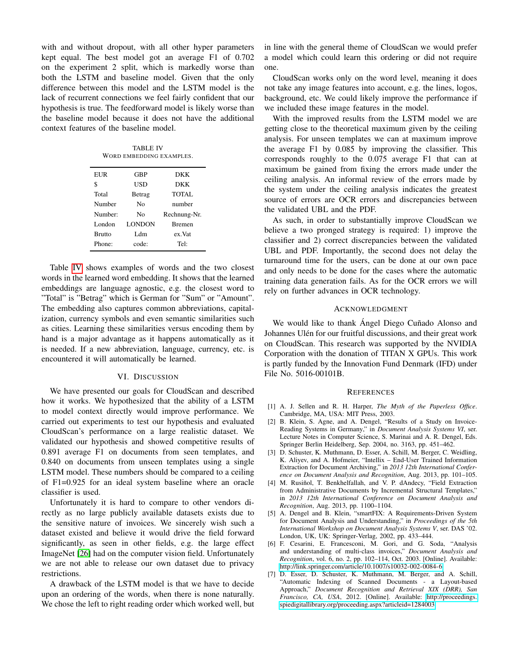with and without dropout, with all other hyper parameters kept equal. The best model got an average F1 of 0.702 on the experiment 2 split, which is markedly worse than both the LSTM and baseline model. Given that the only difference between this model and the LSTM model is the lack of recurrent connections we feel fairly confident that our hypothesis is true. The feedforward model is likely worse than the baseline model because it does not have the additional context features of the baseline model.

TABLE IV WORD EMBEDDING EXAMPLES.

<span id="page-6-7"></span>

| EUR           | GBP           | <b>DKK</b>    |
|---------------|---------------|---------------|
| \$            | USD           | <b>DKK</b>    |
| Total         | Betrag        | TOTAL         |
| Number        | Nο            | number        |
| Number:       | No            | Rechnung-Nr.  |
| London        | <b>LONDON</b> | <b>Bremen</b> |
| <b>Brutto</b> | L dm          | ex.Vat        |
| Phone:        | code:         | Tel:          |

Table [IV](#page-6-7) shows examples of words and the two closest words in the learned word embedding. It shows that the learned embeddings are language agnostic, e.g. the closest word to "Total" is "Betrag" which is German for "Sum" or "Amount". The embedding also captures common abbreviations, capitalization, currency symbols and even semantic similarities such as cities. Learning these similarities versus encoding them by hand is a major advantage as it happens automatically as it is needed. If a new abbreviation, language, currency, etc. is encountered it will automatically be learned.

#### VI. DISCUSSION

We have presented our goals for CloudScan and described how it works. We hypothesized that the ability of a LSTM to model context directly would improve performance. We carried out experiments to test our hypothesis and evaluated CloudScan's performance on a large realistic dataset. We validated our hypothesis and showed competitive results of 0.891 average F1 on documents from seen templates, and 0.840 on documents from unseen templates using a single LSTM model. These numbers should be compared to a ceiling of F1=0.925 for an ideal system baseline where an oracle classifier is used.

Unfortunately it is hard to compare to other vendors directly as no large publicly available datasets exists due to the sensitive nature of invoices. We sincerely wish such a dataset existed and believe it would drive the field forward significantly, as seen in other fields, e.g. the large effect ImageNet [\[26\]](#page-7-19) had on the computer vision field. Unfortunately we are not able to release our own dataset due to privacy restrictions.

A drawback of the LSTM model is that we have to decide upon an ordering of the words, when there is none naturally. We chose the left to right reading order which worked well, but in line with the general theme of CloudScan we would prefer a model which could learn this ordering or did not require one.

CloudScan works only on the word level, meaning it does not take any image features into account, e.g. the lines, logos, background, etc. We could likely improve the performance if we included these image features in the model.

With the improved results from the LSTM model we are getting close to the theoretical maximum given by the ceiling analysis. For unseen templates we can at maximum improve the average F1 by 0.085 by improving the classifier. This corresponds roughly to the 0.075 average F1 that can at maximum be gained from fixing the errors made under the ceiling analysis. An informal review of the errors made by the system under the ceiling analysis indicates the greatest source of errors are OCR errors and discrepancies between the validated UBL and the PDF.

As such, in order to substantially improve CloudScan we believe a two pronged strategy is required: 1) improve the classifier and 2) correct discrepancies between the validated UBL and PDF. Importantly, the second does not delay the turnaround time for the users, can be done at our own pace and only needs to be done for the cases where the automatic training data generation fails. As for the OCR errors we will rely on further advances in OCR technology.

# ACKNOWLEDGMENT

We would like to thank Angel Diego Cuñado Alonso and Johannes Ulén for our fruitful discussions, and their great work on CloudScan. This research was supported by the NVIDIA Corporation with the donation of TITAN X GPUs. This work is partly funded by the Innovation Fund Denmark (IFD) under File No. 5016-00101B.

#### **REFERENCES**

- <span id="page-6-0"></span>[1] A. J. Sellen and R. H. Harper, *The Myth of the Paperless Office*. Cambridge, MA, USA: MIT Press, 2003.
- <span id="page-6-1"></span>[2] B. Klein, S. Agne, and A. Dengel, "Results of a Study on Invoice-Reading Systems in Germany," in *Document Analysis Systems VI*, ser. Lecture Notes in Computer Science, S. Marinai and A. R. Dengel, Eds. Springer Berlin Heidelberg, Sep. 2004, no. 3163, pp. 451–462.
- <span id="page-6-2"></span>[3] D. Schuster, K. Muthmann, D. Esser, A. Schill, M. Berger, C. Weidling, K. Aliyev, and A. Hofmeier, "Intellix – End-User Trained Information Extraction for Document Archiving," in *2013 12th International Conference on Document Analysis and Recognition*, Aug. 2013, pp. 101–105.
- <span id="page-6-3"></span>[4] M. Rusiñol, T. Benkhelfallah, and V. P. dAndecy, "Field Extraction from Administrative Documents by Incremental Structural Templates," in *2013 12th International Conference on Document Analysis and Recognition*, Aug. 2013, pp. 1100–1104.
- <span id="page-6-4"></span>[5] A. Dengel and B. Klein, "smartFIX: A Requirements-Driven System for Document Analysis and Understanding," in *Proceedings of the 5th International Workshop on Document Analysis Systems V*, ser. DAS '02. London, UK, UK: Springer-Verlag, 2002, pp. 433–444.
- <span id="page-6-5"></span>[6] F. Cesarini, E. Francesconi, M. Gori, and G. Soda, "Analysis and understanding of multi-class invoices," *Document Analysis and Recognition*, vol. 6, no. 2, pp. 102–114, Oct. 2003. [Online]. Available: <http://link.springer.com/article/10.1007/s10032-002-0084-6>
- <span id="page-6-6"></span>[7] D. Esser, D. Schuster, K. Muthmann, M. Berger, and A. Schill, "Automatic Indexing of Scanned Documents - a Layout-based Approach," *Document Recognition and Retrieval XIX (DRR), San Francisco, CA, USA*, 2012. [Online]. Available: [http://proceedings.](http://proceedings.spiedigitallibrary.org/proceeding.aspx?articleid=1284003) [spiedigitallibrary.org/proceeding.aspx?articleid=1284003](http://proceedings.spiedigitallibrary.org/proceeding.aspx?articleid=1284003)